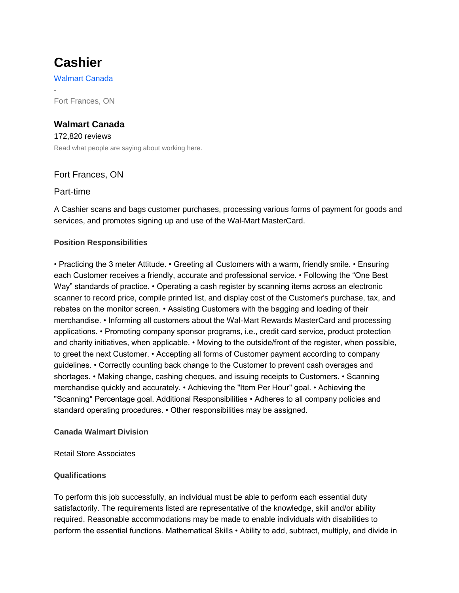# **Cashier**

-

[Walmart Canada](https://ca.indeed.com/cmp/Walmart?campaignid=mobvjcmp&from=mobviewjob&tk=1d9acgobo1e8j000&fromjk=76a3e77a8216c058)

Fort Frances, ON

# **[Walmart Canada](https://ca.indeed.com/cmp/Walmart/reviews?campaignid=mobvjcmp&cmpratingc=mobviewjob&from=mobviewjob&tk=1d9acgobo1e8j000&fromjk=76a3e77a8216c058&jt=Cashier)**

[172,820 reviews](https://ca.indeed.com/cmp/Walmart/reviews?campaignid=mobvjcmp&cmpratingc=mobviewjob&from=mobviewjob&tk=1d9acgobo1e8j000&fromjk=76a3e77a8216c058&jt=Cashier) [Read what people are saying about working here.](https://ca.indeed.com/cmp/Walmart/reviews?campaignid=mobvjcmp&cmpratingc=mobviewjob&from=mobviewjob&tk=1d9acgobo1e8j000&fromjk=76a3e77a8216c058&jt=Cashier)

## Fort Frances, ON

## Part-time

A Cashier scans and bags customer purchases, processing various forms of payment for goods and services, and promotes signing up and use of the Wal-Mart MasterCard.

## **Position Responsibilities**

• Practicing the 3 meter Attitude. • Greeting all Customers with a warm, friendly smile. • Ensuring each Customer receives a friendly, accurate and professional service. • Following the "One Best Way" standards of practice. • Operating a cash register by scanning items across an electronic scanner to record price, compile printed list, and display cost of the Customer's purchase, tax, and rebates on the monitor screen. • Assisting Customers with the bagging and loading of their merchandise. • Informing all customers about the Wal-Mart Rewards MasterCard and processing applications. • Promoting company sponsor programs, i.e., credit card service, product protection and charity initiatives, when applicable. • Moving to the outside/front of the register, when possible, to greet the next Customer. • Accepting all forms of Customer payment according to company guidelines. • Correctly counting back change to the Customer to prevent cash overages and shortages. • Making change, cashing cheques, and issuing receipts to Customers. • Scanning merchandise quickly and accurately. • Achieving the "Item Per Hour" goal. • Achieving the "Scanning" Percentage goal. Additional Responsibilities • Adheres to all company policies and standard operating procedures. • Other responsibilities may be assigned.

## **Canada Walmart Division**

Retail Store Associates

## **Qualifications**

To perform this job successfully, an individual must be able to perform each essential duty satisfactorily. The requirements listed are representative of the knowledge, skill and/or ability required. Reasonable accommodations may be made to enable individuals with disabilities to perform the essential functions. Mathematical Skills • Ability to add, subtract, multiply, and divide in